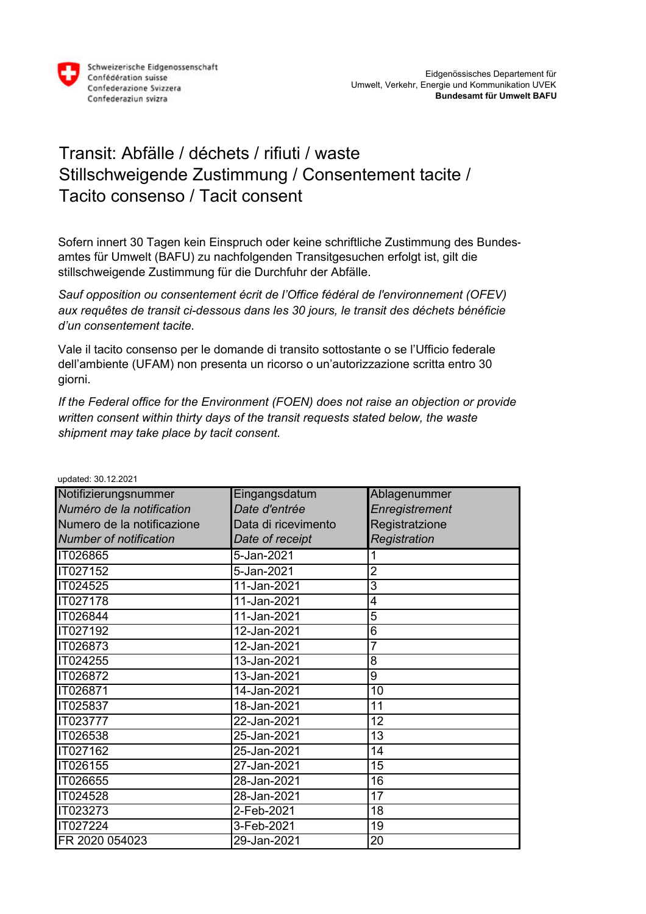

## Transit: Abfälle / déchets / rifiuti / waste Stillschweigende Zustimmung / Consentement tacite / Tacito consenso / Tacit consent

Sofern innert 30 Tagen kein Einspruch oder keine schriftliche Zustimmung des Bundesamtes für Umwelt (BAFU) zu nachfolgenden Transitgesuchen erfolgt ist, gilt die stillschweigende Zustimmung für die Durchfuhr der Abfälle.

*Sauf opposition ou consentement écrit de l'Office fédéral de l'environnement (OFEV) aux requêtes de transit ci-dessous dans les 30 jours, le transit des déchets bénéficie d'un consentement tacite.*

Vale il tacito consenso per le domande di transito sottostante o se l'Ufficio federale dell'ambiente (UFAM) non presenta un ricorso o un'autorizzazione scritta entro 30 giorni.

*If the Federal office for the Environment (FOEN) does not raise an objection or provide written consent within thirty days of the transit requests stated below, the waste shipment may take place by tacit consent.*

| Notifizierungsnummer          | Eingangsdatum       | Ablagenummer   |
|-------------------------------|---------------------|----------------|
| Numéro de la notification     | Date d'entrée       | Enregistrement |
|                               |                     |                |
| Numero de la notificazione    | Data di ricevimento | Registratzione |
| <b>Number of notification</b> | Date of receipt     | Registration   |
| IT026865                      | 5-Jan-2021          |                |
| IT027152                      | 5-Jan-2021          | $\overline{2}$ |
| IT024525                      | 11-Jan-2021         | 3              |
| <b>IT027178</b>               | 11-Jan-2021         | 4              |
| IT026844                      | 11-Jan-2021         | 5              |
| IT027192                      | 12-Jan-2021         | 6              |
| IT026873                      | 12-Jan-2021         |                |
| IT024255                      | 13-Jan-2021         | 8              |
| IT026872                      | 13-Jan-2021         | 9              |
| IT026871                      | 14-Jan-2021         | 10             |
| IT025837                      | 18-Jan-2021         | 11             |
| IT023777                      | 22-Jan-2021         | 12             |
| IT026538                      | 25-Jan-2021         | 13             |
| IT027162                      | 25-Jan-2021         | 14             |
| IT026155                      | 27-Jan-2021         | 15             |
| IT026655                      | 28-Jan-2021         | 16             |
| <b>IT024528</b>               | 28-Jan-2021         | 17             |
| IT023273                      | 2-Feb-2021          | 18             |
| IT027224                      | 3-Feb-2021          | 19             |
| FR 2020 054023                | 29-Jan-2021         | 20             |

updated: 30.12.2021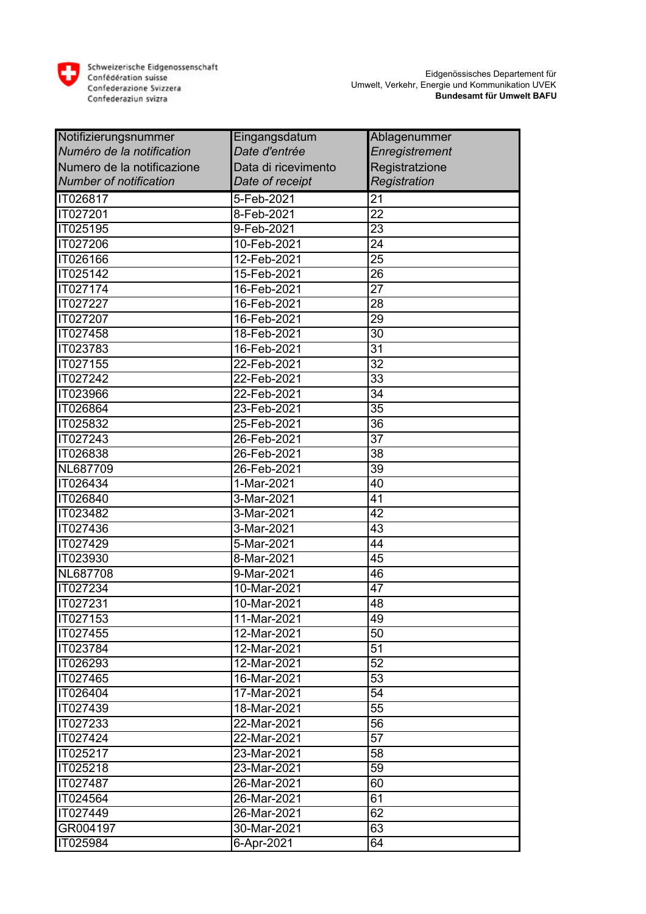

| Notifizierungsnummer          | Eingangsdatum       | Ablagenummer          |
|-------------------------------|---------------------|-----------------------|
| Numéro de la notification     | Date d'entrée       | <b>Enregistrement</b> |
| Numero de la notificazione    | Data di ricevimento | Registratzione        |
| <b>Number of notification</b> | Date of receipt     | Registration          |
| IT026817                      | $5 - Feb - 2021$    | 21                    |
| <b>IT027201</b>               | 8-Feb-2021          | $\overline{22}$       |
| IT025195                      | 9-Feb-2021          | $\overline{23}$       |
| <b>IT027206</b>               | 10-Feb-2021         | 24                    |
| IT026166                      | 12-Feb-2021         | 25                    |
| IT025142                      | 15-Feb-2021         | 26                    |
| IT027174                      | 16-Feb-2021         | 27                    |
| <b>IT027227</b>               | 16-Feb-2021         | $\overline{28}$       |
| IT027207                      | 16-Feb-2021         | 29                    |
| IT027458                      | 18-Feb-2021         | 30                    |
| IT023783                      | 16-Feb-2021         | 31                    |
| IT027155                      | 22-Feb-2021         | $\overline{32}$       |
| IT027242                      | 22-Feb-2021         | 33                    |
| IT023966                      | 22-Feb-2021         | 34                    |
| IT026864                      | 23-Feb-2021         | 35                    |
| IT025832                      | 25-Feb-2021         | 36                    |
| IT027243                      | 26-Feb-2021         | 37                    |
| <b>IT026838</b>               | 26-Feb-2021         | $\overline{38}$       |
| NL687709                      | 26-Feb-2021         | 39                    |
| IT026434                      | 1-Mar-2021          | 40                    |
| IT026840                      | 3-Mar-2021          | 41                    |
| IT023482                      | 3-Mar-2021          | 42                    |
| IT027436                      | 3-Mar-2021          | 43                    |
| IT027429                      | 5-Mar-2021          | 44                    |
| IT023930                      | 8-Mar-2021          | 45                    |
| NL687708                      | 9-Mar-2021          | 46                    |
| IT027234                      | 10-Mar-2021         | 47                    |
| IT027231                      | 10-Mar-2021         | 48                    |
| IT027153                      | 11-Mar-2021         | 49                    |
| IT027455                      | 12-Mar-2021         | 50                    |
| IT023784                      | 12-Mar-2021         | 51                    |
| IT026293                      | 12-Mar-2021         | 52                    |
| IT027465                      | 16-Mar-2021         | 53                    |
| IT026404                      | 17-Mar-2021         | 54                    |
| IT027439                      | 18-Mar-2021         | 55                    |
| IT027233                      | 22-Mar-2021         | 56                    |
| IT027424                      | 22-Mar-2021         | 57                    |
| IT025217                      | 23-Mar-2021         | 58                    |
| <b>IT025218</b>               | 23-Mar-2021         | 59                    |
| IT027487                      | 26-Mar-2021         | 60                    |
| IT024564                      | 26-Mar-2021         | 61                    |
| IT027449                      | 26-Mar-2021         | 62                    |
| GR004197                      | 30-Mar-2021         | 63                    |
| IT025984                      | 6-Apr-2021          | 64                    |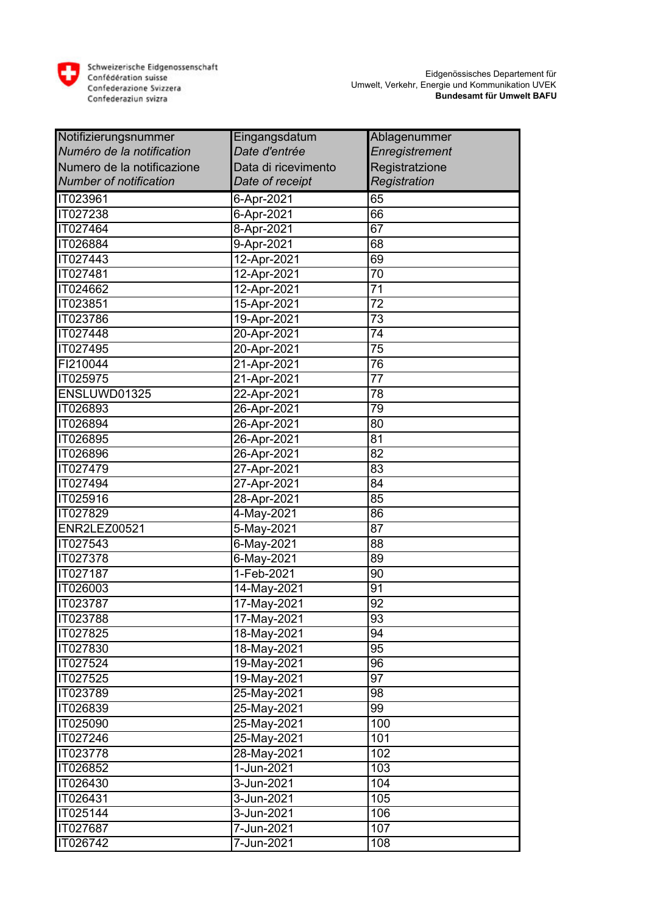

| Notifizierungsnummer          | Eingangsdatum       | Ablagenummer    |
|-------------------------------|---------------------|-----------------|
| Numéro de la notification     | Date d'entrée       | Enregistrement  |
| Numero de la notificazione    | Data di ricevimento | Registratzione  |
| <b>Number of notification</b> | Date of receipt     | Registration    |
| IT023961                      | 6-Apr-2021          | 65              |
| IT027238                      | 6-Apr-2021          | 66              |
| IT027464                      | 8-Apr-2021          | 67              |
| IT026884                      | 9-Apr-2021          | 68              |
| IT027443                      | 12-Apr-2021         | 69              |
| IT027481                      | 12-Apr-2021         | 70              |
| IT024662                      | 12-Apr-2021         | 71              |
| IT023851                      | 15-Apr-2021         | $\overline{72}$ |
| IT023786                      | 19-Apr-2021         | 73              |
| IT027448                      | 20-Apr-2021         | 74              |
| IT027495                      | 20-Apr-2021         | 75              |
| FI210044                      | 21-Apr-2021         | 76              |
| IT025975                      | 21-Apr-2021         | $\overline{77}$ |
| ENSLUWD01325                  | 22-Apr-2021         | 78              |
| IT026893                      | 26-Apr-2021         | 79              |
| IT026894                      | 26-Apr-2021         | 80              |
| IT026895                      | 26-Apr-2021         | 81              |
| IT026896                      | 26-Apr-2021         | 82              |
| IT027479                      | 27-Apr-2021         | 83              |
| IT027494                      | 27-Apr-2021         | 84              |
| IT025916                      | 28-Apr-2021         | 85              |
| IT027829                      | 4-May-2021          | 86              |
| ENR2LEZ00521                  | 5-May-2021          | 87              |
| IT027543                      | 6-May-2021          | 88              |
| IT027378                      | 6-May-2021          | 89              |
| IT027187                      | 1-Feb-2021          | 90              |
| IT026003                      | 14-May-2021         | 91              |
| IT023787                      | 17-May-2021         | 92              |
| IT023788                      | 17-May-2021         | 93              |
| IT027825                      | 18-May-2021         | 94              |
| IT027830                      | 18-May-2021         | 95              |
| IT027524                      | 19-May-2021         | 96              |
| IT027525                      | 19-May-2021         | 97              |
| IT023789                      | 25-May-2021         | 98              |
| IT026839                      | 25-May-2021         | 99              |
| IT025090                      | 25-May-2021         | 100             |
| IT027246                      | 25-May-2021         | 101             |
| IT023778                      | 28-May-2021         | 102             |
| IT026852                      | 1-Jun-2021          | 103             |
| IT026430                      | 3-Jun-2021          | 104             |
| IT026431                      | 3-Jun-2021          | 105             |
| IT025144                      | 3-Jun-2021          | 106             |
| IT027687                      | 7-Jun-2021          | 107             |
| IT026742                      | 7-Jun-2021          | 108             |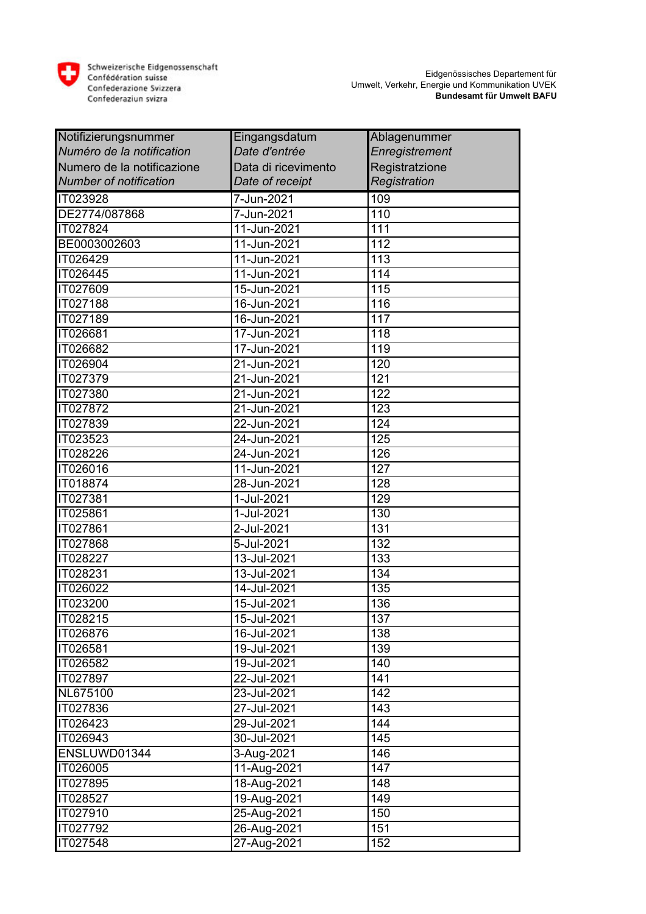

| Notifizierungsnummer          | Eingangsdatum       | Ablagenummer     |
|-------------------------------|---------------------|------------------|
| Numéro de la notification     | Date d'entrée       | Enregistrement   |
| Numero de la notificazione    | Data di ricevimento | Registratzione   |
| <b>Number of notification</b> | Date of receipt     | Registration     |
| <b>IT023928</b>               | 7-Jun-2021          | 109              |
| DE2774/087868                 | 7-Jun-2021          | 110              |
| IT027824                      | 11-Jun-2021         | 111              |
| BE0003002603                  | 11-Jun-2021         | 112              |
| IT026429                      | 11-Jun-2021         | 113              |
| IT026445                      | 11-Jun-2021         | 114              |
| IT027609                      | 15-Jun-2021         | 115              |
| IT027188                      | 16-Jun-2021         | 116              |
| IT027189                      | 16-Jun-2021         | 117              |
| IT026681                      | 17-Jun-2021         | 118              |
| IT026682                      | 17-Jun-2021         | 119              |
| IT026904                      | 21-Jun-2021         | 120              |
| <b>IT027379</b>               | 21-Jun-2021         | 121              |
| IT027380                      | 21-Jun-2021         | 122              |
| IT027872                      | 21-Jun-2021         | 123              |
| IT027839                      | 22-Jun-2021         | 124              |
| IT023523                      | 24-Jun-2021         | 125              |
| IT028226                      | 24-Jun-2021         | 126              |
| IT026016                      | 11-Jun-2021         | $\overline{127}$ |
| IT018874                      | 28-Jun-2021         | 128              |
| <b>IT027381</b>               | 1-Jul-2021          | 129              |
| IT025861                      | 1-Jul-2021          | 130              |
| IT027861                      | 2-Jul-2021          | 131              |
| IT027868                      | 5-Jul-2021          | 132              |
| IT028227                      | 13-Jul-2021         | 133              |
| IT028231                      | 13-Jul-2021         | 134              |
| IT026022                      | 14-Jul-2021         | 135              |
| IT023200                      | 15-Jul-2021         | 136              |
| IT028215                      | 15-Jul-2021         | 137              |
| IT026876                      | 16-Jul-2021         | 138              |
| IT026581                      | 19-Jul-2021         | 139              |
| IT026582                      | 19-Jul-2021         | 140              |
| IT027897                      | 22-Jul-2021         | 141              |
| NL675100                      | 23-Jul-2021         | 142              |
| IT027836                      | 27-Jul-2021         | 143              |
| IT026423                      | 29-Jul-2021         | 144              |
| IT026943                      | 30-Jul-2021         | 145              |
| ENSLUWD01344                  | 3-Aug-2021          | 146              |
| IT026005                      | 11-Aug-2021         | 147              |
| IT027895                      | 18-Aug-2021         | 148              |
| IT028527                      | 19-Aug-2021         | 149              |
| IT027910                      | 25-Aug-2021         | 150              |
| IT027792                      | 26-Aug-2021         | 151              |
| IT027548                      | 27-Aug-2021         | 152              |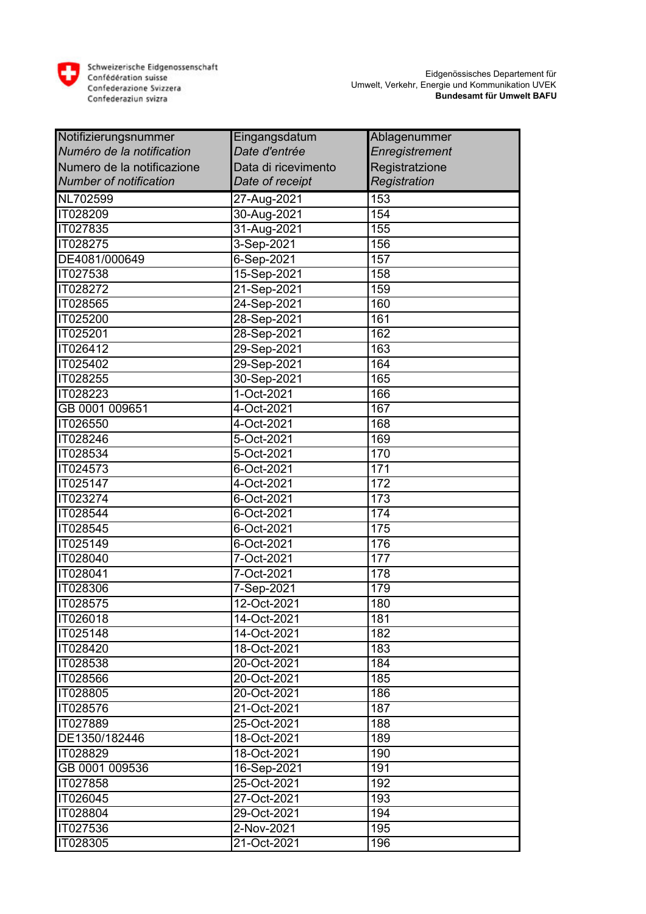

| Notifizierungsnummer          | Eingangsdatum       | Ablagenummer          |
|-------------------------------|---------------------|-----------------------|
| Numéro de la notification     | Date d'entrée       | <b>Enregistrement</b> |
| Numero de la notificazione    | Data di ricevimento | Registratzione        |
| <b>Number of notification</b> | Date of receipt     | Registration          |
| NL702599                      | 27-Aug-2021         | 153                   |
| IT028209                      | 30-Aug-2021         | 154                   |
| IT027835                      | 31-Aug-2021         | 155                   |
| IT028275                      | 3-Sep-2021          | 156                   |
| DE4081/000649                 | 6-Sep-2021          | 157                   |
| IT027538                      | 15-Sep-2021         | 158                   |
| IT028272                      | 21-Sep-2021         | 159                   |
| IT028565                      | 24-Sep-2021         | 160                   |
| IT025200                      | 28-Sep-2021         | 161                   |
| IT025201                      | 28-Sep-2021         | 162                   |
| IT026412                      | 29-Sep-2021         | 163                   |
| IT025402                      | 29-Sep-2021         | 164                   |
| <b>IT028255</b>               | 30-Sep-2021         | 165                   |
| IT028223                      | 1-Oct-2021          | 166                   |
| GB 0001 009651                | 4-Oct-2021          | 167                   |
| IT026550                      | 4-Oct-2021          | 168                   |
| IT028246                      | 5-Oct-2021          | 169                   |
| IT028534                      | 5-Oct-2021          | 170                   |
| IT024573                      | 6-Oct-2021          | 171                   |
| IT025147                      | 4-Oct-2021          | 172                   |
| IT023274                      | 6-Oct-2021          | 173                   |
| IT028544                      | 6-Oct-2021          | 174                   |
| IT028545                      | 6-Oct-2021          | 175                   |
| IT025149                      | 6-Oct-2021          | 176                   |
| IT028040                      | 7-Oct-2021          | 177                   |
| IT028041                      | 7-Oct-2021          | 178                   |
| IT028306                      | 7-Sep-2021          | 179                   |
| IT028575                      | 12-Oct-2021         | 180                   |
| IT026018                      | 14-Oct-2021         | 181                   |
| IT025148                      | 14-Oct-2021         | 182                   |
| IT028420                      | 18-Oct-2021         | 183                   |
| IT028538                      | 20-Oct-2021         | 184                   |
| IT028566                      | 20-Oct-2021         | 185                   |
| IT028805                      | 20-Oct-2021         | 186                   |
| IT028576                      | 21-Oct-2021         | 187                   |
| IT027889                      | 25-Oct-2021         | 188                   |
| DE1350/182446                 | 18-Oct-2021         | 189                   |
| IT028829                      | 18-Oct-2021         | 190                   |
| GB 0001 009536                | 16-Sep-2021         | 191                   |
| IT027858                      | 25-Oct-2021         | 192                   |
| IT026045                      | 27-Oct-2021         | 193                   |
| IT028804                      | 29-Oct-2021         | 194                   |
| IT027536                      | 2-Nov-2021          | 195                   |
| IT028305                      | 21-Oct-2021         | 196                   |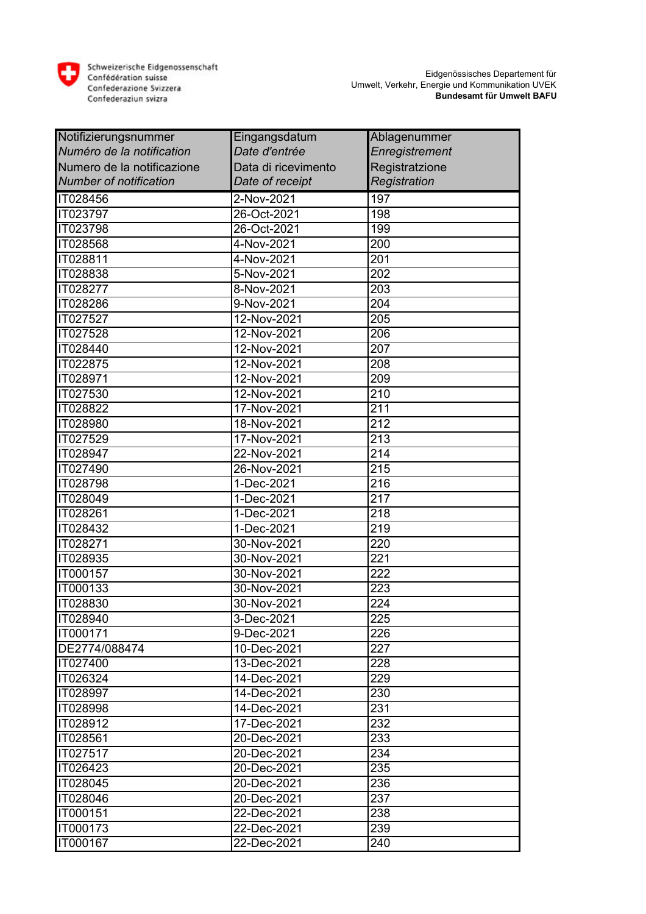

| Notifizierungsnummer          | Eingangsdatum       | Ablagenummer     |
|-------------------------------|---------------------|------------------|
| Numéro de la notification     | Date d'entrée       | Enregistrement   |
| Numero de la notificazione    | Data di ricevimento | Registratzione   |
| <b>Number of notification</b> | Date of receipt     | Registration     |
| IT028456                      | 2-Nov-2021          | 197              |
| <b>IT023797</b>               | 26-Oct-2021         | 198              |
| <b>IT023798</b>               | 26-Oct-2021         | 199              |
| IT028568                      | 4-Nov-2021          | 200              |
| IT028811                      | 4-Nov-2021          | 201              |
| IT028838                      | 5-Nov-2021          | 202              |
| IT028277                      | 8-Nov-2021          | 203              |
| <b>IT028286</b>               | 9-Nov-2021          | 204              |
| IT027527                      | 12-Nov-2021         | 205              |
| IT027528                      | 12-Nov-2021         | 206              |
| IT028440                      | 12-Nov-2021         | 207              |
| IT022875                      | 12-Nov-2021         | 208              |
| IT028971                      | 12-Nov-2021         | 209              |
| IT027530                      | 12-Nov-2021         | 210              |
| IT028822                      | 17-Nov-2021         | 211              |
| <b>IT028980</b>               | 18-Nov-2021         | $\overline{212}$ |
| IT027529                      | 17-Nov-2021         | 213              |
| IT028947                      | 22-Nov-2021         | 214              |
| <b>IT027490</b>               | 26-Nov-2021         | $\overline{215}$ |
| IT028798                      | 1-Dec-2021          | 216              |
| IT028049                      | 1-Dec-2021          | 217              |
| IT028261                      | 1-Dec-2021          | 218              |
| IT028432                      | 1-Dec-2021          | 219              |
| IT028271                      | 30-Nov-2021         | 220              |
| IT028935                      | $30 - Nov-2021$     | 221              |
| IT000157                      | 30-Nov-2021         | 222              |
| IT000133                      | 30-Nov-2021         | 223              |
| IT028830                      | 30-Nov-2021         | 224              |
| IT028940                      | 3-Dec-2021          | 225              |
| IT000171                      | 9-Dec-2021          | 226              |
| DE2774/088474                 | 10-Dec-2021         | 227              |
| IT027400                      | 13-Dec-2021         | 228              |
| IT026324                      | 14-Dec-2021         | 229              |
| IT028997                      | 14-Dec-2021         | 230              |
| IT028998                      | 14-Dec-2021         | 231              |
| IT028912                      | 17-Dec-2021         | 232              |
| IT028561                      | 20-Dec-2021         | 233              |
| IT027517                      | 20-Dec-2021         | 234              |
| IT026423                      | 20-Dec-2021         | 235              |
| IT028045                      | 20-Dec-2021         | 236              |
| IT028046                      | 20-Dec-2021         | 237              |
| IT000151                      | 22-Dec-2021         | 238              |
| IT000173                      | 22-Dec-2021         | 239              |
| IT000167                      | 22-Dec-2021         | 240              |